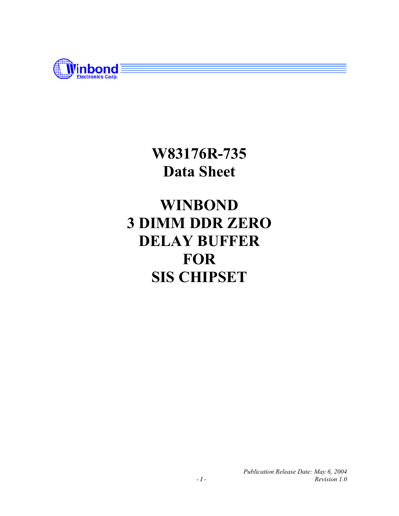

**W83176R-735 Data Sheet** 

# **WINBOND 3 DIMM DDR ZERO DELAY BUFFER FOR SIS CHIPSET**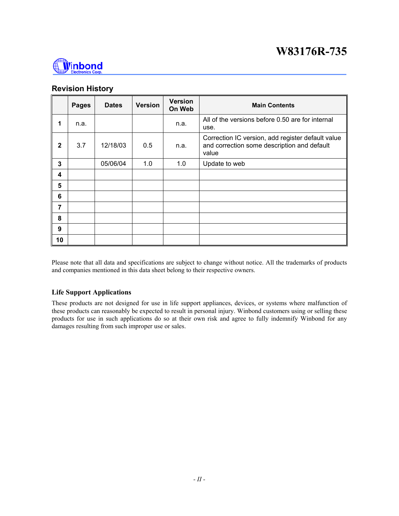

#### **Revision History**

|                         | <b>Pages</b> | <b>Dates</b> | <b>Version</b> | <b>Version</b><br>On Web | <b>Main Contents</b>                                                                                      |
|-------------------------|--------------|--------------|----------------|--------------------------|-----------------------------------------------------------------------------------------------------------|
| 1                       | n.a.         |              |                | n.a.                     | All of the versions before 0.50 are for internal<br>use.                                                  |
| $\mathbf{2}$            | 3.7          | 12/18/03     | 0.5            | n.a.                     | Correction IC version, add register default value<br>and correction some description and default<br>value |
| 3                       |              | 05/06/04     | 1.0            | 1.0                      | Update to web                                                                                             |
| $\overline{\mathbf{4}}$ |              |              |                |                          |                                                                                                           |
| 5                       |              |              |                |                          |                                                                                                           |
| 6                       |              |              |                |                          |                                                                                                           |
| 7                       |              |              |                |                          |                                                                                                           |
| 8                       |              |              |                |                          |                                                                                                           |
| 9                       |              |              |                |                          |                                                                                                           |
| 10                      |              |              |                |                          |                                                                                                           |

Please note that all data and specifications are subject to change without notice. All the trademarks of products and companies mentioned in this data sheet belong to their respective owners.

#### **Life Support Applications**

These products are not designed for use in life support appliances, devices, or systems where malfunction of these products can reasonably be expected to result in personal injury. Winbond customers using or selling these products for use in such applications do so at their own risk and agree to fully indemnify Winbond for any damages resulting from such improper use or sales.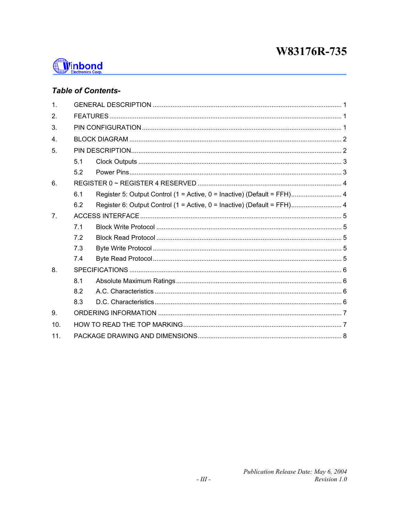

# **Table of Contents-**

| 1 <sub>1</sub>   |     |                                                                         |  |  |  |  |  |  |
|------------------|-----|-------------------------------------------------------------------------|--|--|--|--|--|--|
| 2.               |     |                                                                         |  |  |  |  |  |  |
| 3.               |     |                                                                         |  |  |  |  |  |  |
| $\overline{4}$ . |     |                                                                         |  |  |  |  |  |  |
| 5.               |     |                                                                         |  |  |  |  |  |  |
|                  | 5.1 |                                                                         |  |  |  |  |  |  |
|                  | 5.2 |                                                                         |  |  |  |  |  |  |
| 6.               |     |                                                                         |  |  |  |  |  |  |
|                  | 6.1 | Register 5: Output Control (1 = Active, 0 = Inactive) (Default = FFH) 4 |  |  |  |  |  |  |
|                  | 6.2 | Register 6: Output Control (1 = Active, 0 = Inactive) (Default = FFH) 4 |  |  |  |  |  |  |
| 7 <sub>1</sub>   |     |                                                                         |  |  |  |  |  |  |
|                  | 7.1 |                                                                         |  |  |  |  |  |  |
|                  | 7.2 |                                                                         |  |  |  |  |  |  |
|                  | 7.3 |                                                                         |  |  |  |  |  |  |
|                  | 7.4 |                                                                         |  |  |  |  |  |  |
| 8.               |     |                                                                         |  |  |  |  |  |  |
|                  | 8.1 |                                                                         |  |  |  |  |  |  |
|                  | 8.2 |                                                                         |  |  |  |  |  |  |
|                  | 8.3 |                                                                         |  |  |  |  |  |  |
| 9.               |     |                                                                         |  |  |  |  |  |  |
| 10.              |     |                                                                         |  |  |  |  |  |  |
| 11.              |     |                                                                         |  |  |  |  |  |  |
|                  |     |                                                                         |  |  |  |  |  |  |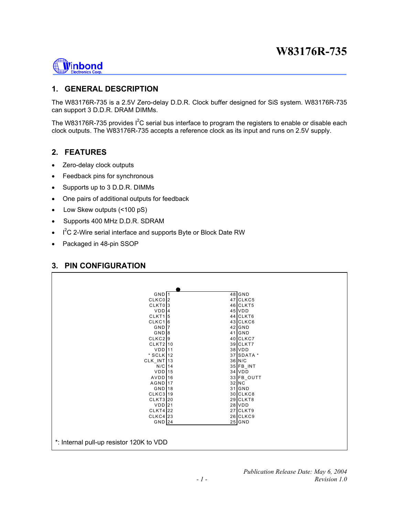<span id="page-3-0"></span>

### **1. GENERAL DESCRIPTION**

The W83176R-735 is a 2.5V Zero-delay D.D.R. Clock buffer designed for SiS system. W83176R-735 can support 3 D.D.R. DRAM DIMMs.

The W83176R-735 provides  $I^2C$  serial bus interface to program the registers to enable or disable each clock outputs. The W83176R-735 accepts a reference clock as its input and runs on 2.5V supply.

#### **2. FEATURES**

- Zero-delay clock outputs
- Feedback pins for synchronous
- Supports up to 3 D.D.R. DIMMs
- One pairs of additional outputs for feedback
- Low Skew outputs (<100 pS)
- Supports 400 MHz D.D.R. SDRAM
- $\cdot$  I<sup>2</sup>C 2-Wire serial interface and supports Byte or Block Date RW
- Packaged in 48-pin SSOP

#### **3. PIN CONFIGURATION**

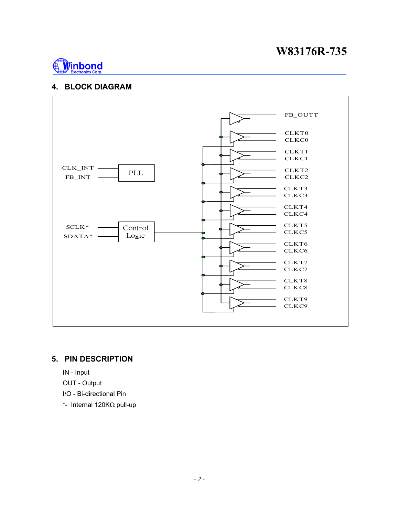<span id="page-4-0"></span>

#### **4. BLOCK DIAGRAM**



### **5. PIN DESCRIPTION**

- IN Input
- OUT Output
- I/O Bi-directional Pin
- \*- Internal 120KΩ pull-up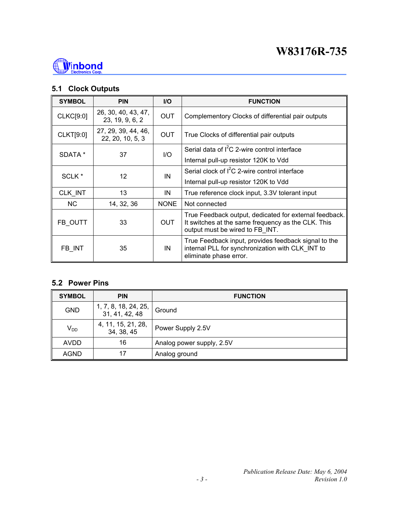<span id="page-5-0"></span>

## **5.1 Clock Outputs**

| <b>SYMBOL</b>     | <b>PIN</b>                              | <b>I/O</b>  | <b>FUNCTION</b>                                                                                                                                 |
|-------------------|-----------------------------------------|-------------|-------------------------------------------------------------------------------------------------------------------------------------------------|
| CLKC[9:0]         | 26, 30, 40, 43, 47,<br>23, 19, 9, 6, 2  | <b>OUT</b>  | Complementory Clocks of differential pair outputs                                                                                               |
| <b>CLKT[9:0]</b>  | 27, 29, 39, 44, 46,<br>22, 20, 10, 5, 3 | <b>OUT</b>  | True Clocks of differential pair outputs                                                                                                        |
| SDATA *           | 37                                      | 1/O         | Serial data of I <sup>2</sup> C 2-wire control interface                                                                                        |
|                   |                                         |             | Internal pull-up resistor 120K to Vdd                                                                                                           |
| SCLK <sup>*</sup> | 12                                      | IN          | Serial clock of I <sup>2</sup> C 2-wire control interface                                                                                       |
|                   |                                         |             | Internal pull-up resistor 120K to Vdd                                                                                                           |
| CLK_INT           | 13<br>IN                                |             | True reference clock input, 3.3V tolerant input                                                                                                 |
| <b>NC</b>         | 14, 32, 36                              | <b>NONE</b> | Not connected                                                                                                                                   |
| FB_OUTT           | 33                                      | <b>OUT</b>  | True Feedback output, dedicated for external feedback.<br>It switches at the same frequency as the CLK. This<br>output must be wired to FB INT. |
| FB INT<br>35      |                                         | IN          | True Feedback input, provides feedback signal to the<br>internal PLL for synchronization with CLK INT to<br>eliminate phase error.              |

# **5.2 Power Pins**

| <b>SYMBOL</b> | <b>PIN</b>                             | <b>FUNCTION</b>           |
|---------------|----------------------------------------|---------------------------|
| <b>GND</b>    | 1, 7, 8, 18, 24, 25,<br>31, 41, 42, 48 | Ground                    |
| $V_{DD}$      | 4, 11, 15, 21, 28,<br>34, 38, 45       | Power Supply 2.5V         |
| <b>AVDD</b>   | 16                                     | Analog power supply, 2.5V |
| <b>AGND</b>   | 17                                     | Analog ground             |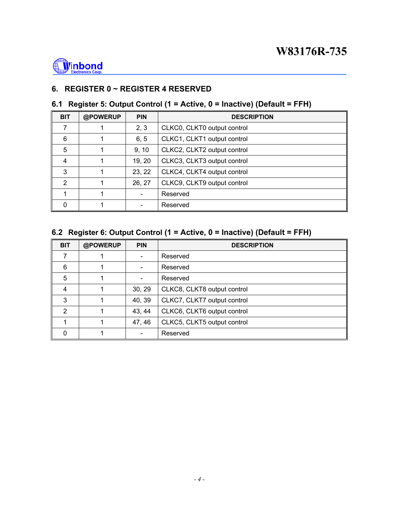<span id="page-6-0"></span>

# **6. REGISTER 0 ~ REGISTER 4 RESERVED**

# **6.1 Register 5: Output Control (1 = Active, 0 = Inactive) (Default = FFH)**

| <b>BIT</b>     | @POWERUP | <b>PIN</b> | <b>DESCRIPTION</b>          |  |  |  |
|----------------|----------|------------|-----------------------------|--|--|--|
| 7              |          | 2, 3       | CLKC0, CLKT0 output control |  |  |  |
| 6              |          | 6, 5       | CLKC1, CLKT1 output control |  |  |  |
| 5              |          | 9, 10      | CLKC2, CLKT2 output control |  |  |  |
| 4              |          | 19, 20     | CLKC3, CLKT3 output control |  |  |  |
| 3              |          | 23, 22     | CLKC4, CLKT4 output control |  |  |  |
| $\mathfrak{p}$ |          | 26, 27     | CLKC9, CLKT9 output control |  |  |  |
|                |          |            | Reserved                    |  |  |  |
| 0              |          |            | Reserved                    |  |  |  |

# **6.2 Register 6: Output Control (1 = Active, 0 = Inactive) (Default = FFH)**

| <b>BIT</b> | @POWERUP | <b>PIN</b>                   | <b>DESCRIPTION</b>          |  |  |  |
|------------|----------|------------------------------|-----------------------------|--|--|--|
|            |          |                              | Reserved                    |  |  |  |
| 6          |          | $\qquad \qquad \blacksquare$ | Reserved                    |  |  |  |
| 5          |          |                              | Reserved                    |  |  |  |
| 4          |          | 30, 29                       | CLKC8, CLKT8 output control |  |  |  |
| 3          |          | 40, 39                       | CLKC7, CLKT7 output control |  |  |  |
| 2          |          | 43, 44                       | CLKC6, CLKT6 output control |  |  |  |
|            |          | 47, 46                       | CLKC5, CLKT5 output control |  |  |  |
| 0          |          |                              | Reserved                    |  |  |  |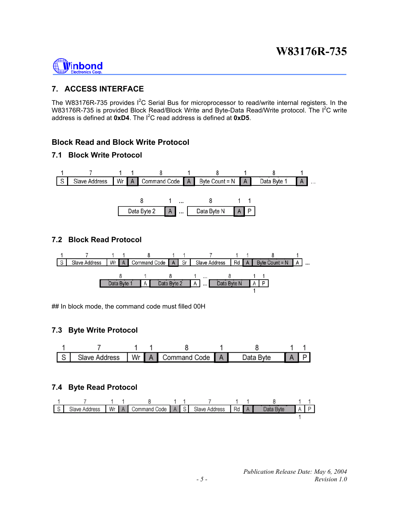<span id="page-7-0"></span>

# **7. ACCESS INTERFACE**

The W83176R-735 provides  $I^2C$  Serial Bus for microprocessor to read/write internal registers. In the W83176R-735 is provided Block Read/Block Write and Byte-Data Read/Write protocol. The I<sup>2</sup>C write address is defined at **0xD4**. The  $I^2C$  read address is defined at **0xD5**.

# **Block Read and Block Write Protocol**

### **7.1 Block Write Protocol**



### **7.2 Block Read Protocol**



## In block mode, the command code must filled 00H

## **7.3 Byte Write Protocol**



## **7.4 Byte Read Protocol**

|  |  |  |  |  | S Slave Address Wr A Command Code A S Slave Address Rd A Data Byte A P |  |
|--|--|--|--|--|------------------------------------------------------------------------|--|
|  |  |  |  |  |                                                                        |  |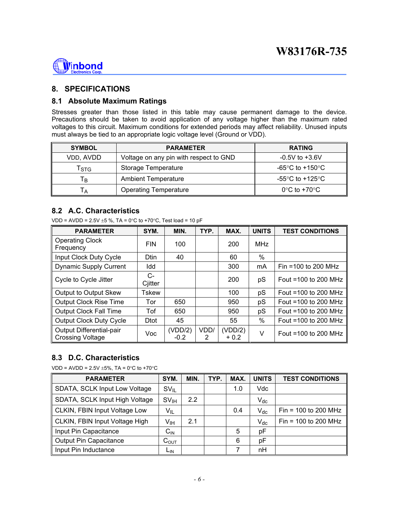<span id="page-8-0"></span>

### **8. SPECIFICATIONS**

#### **8.1 Absolute Maximum Ratings**

Stresses greater than those listed in this table may cause permanent damage to the device. Precautions should be taken to avoid application of any voltage higher than the maximum rated voltages to this circuit. Maximum conditions for extended periods may affect reliability. Unused inputs must always be tied to an appropriate logic voltage level (Ground or VDD).

| <b>SYMBOL</b> | <b>PARAMETER</b>                       | <b>RATING</b>                     |
|---------------|----------------------------------------|-----------------------------------|
| VDD, AVDD     | Voltage on any pin with respect to GND | $-0.5V$ to $+3.6V$                |
| Tstg          | Storage Temperature                    | -65°C to +150°C                   |
| Tв            | <b>Ambient Temperature</b>             | -55°C to +125°C                   |
| ۱A.           | <b>Operating Temperature</b>           | $0^{\circ}$ C to +70 $^{\circ}$ C |

#### **8.2 A.C. Characteristics**

VDD = AVDD =  $2.5V \pm 5$  %, TA = 0°C to +70°C, Test load = 10 pF

| <b>PARAMETER</b>                                    | SYM.            | MIN.              | TYP. | MAX.              | <b>UNITS</b> | <b>TEST CONDITIONS</b> |
|-----------------------------------------------------|-----------------|-------------------|------|-------------------|--------------|------------------------|
| <b>Operating Clock</b><br>Frequency                 | <b>FIN</b>      | 100               |      | 200               | <b>MHz</b>   |                        |
| Input Clock Duty Cycle                              | <b>Dtin</b>     | 40                |      | 60                | $\%$         |                        |
| <b>Dynamic Supply Current</b>                       | Idd             |                   |      | 300               | mA           | Fin =100 to 200 MHz    |
| Cycle to Cycle Jitter                               | $C-$<br>Cjitter |                   |      | 200               | pS           | Fout $=100$ to 200 MHz |
| Output to Output Skew                               | <b>Tskew</b>    |                   |      | 100               | pS           | Fout =100 to 200 MHz   |
| <b>Output Clock Rise Time</b>                       | Tor             | 650               |      | 950               | pS           | Fout =100 to 200 MHz   |
| Output Clock Fall Time                              | Tof             | 650               |      | 950               | pS           | Fout =100 to 200 MHz   |
| Output Clock Duty Cycle                             | <b>Dtot</b>     | 45                |      | 55                | $\%$         | Fout =100 to 200 MHz   |
| Output Differential-pair<br><b>Crossing Voltage</b> | Voc             | (VDD/2)<br>$-0.2$ | VDD/ | (VDD/2)<br>$+0.2$ | V            | Fout =100 to 200 MHz   |

#### **8.3 D.C. Characteristics**

VDD = AVDD =  $2.5V \pm 5\%$ , TA =  $0^{\circ}$ C to +70 $^{\circ}$ C

| <b>PARAMETER</b>               | SYM.             | MIN. | TYP. | MAX. | <b>UNITS</b>               | <b>TEST CONDITIONS</b> |
|--------------------------------|------------------|------|------|------|----------------------------|------------------------|
| SDATA, SCLK Input Low Voltage  | $SV_{IL}$        |      |      | 1.0  | Vdc                        |                        |
| SDATA, SCLK Input High Voltage | SV <sub>IH</sub> | 2.2  |      |      | $V_{dc}$                   |                        |
| CLKIN, FBIN Input Voltage Low  | $V_{IL}$         |      |      | 0.4  | $\mathsf{V}_{\mathsf{dc}}$ | Fin = $100$ to 200 MHz |
| CLKIN, FBIN Input Voltage High | V <sub>IH</sub>  | 2.1  |      |      | $V_{dc}$                   | Fin = $100$ to 200 MHz |
| Input Pin Capacitance          | $C_{\text{IN}}$  |      |      | 5    | рF                         |                        |
| Output Pin Capacitance         | $C_{OUT}$        |      |      | 6    | pF                         |                        |
| Input Pin Inductance           | LIN              |      |      |      | nH                         |                        |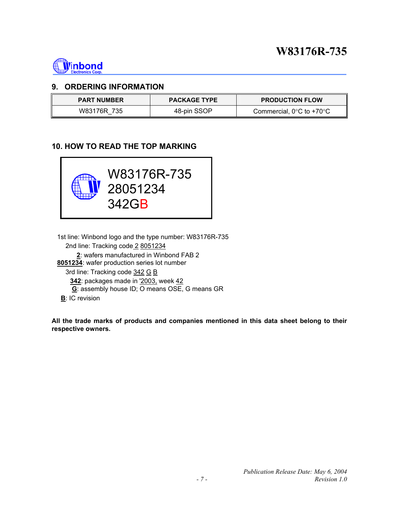<span id="page-9-0"></span>

#### **9. ORDERING INFORMATION**

| <b>PART NUMBER</b> | <b>PACKAGE TYPE</b> | <b>PRODUCTION FLOW</b>                        |
|--------------------|---------------------|-----------------------------------------------|
| W83176R 735        | 48-pin SSOP         | Commercial, $0^{\circ}$ C to +70 $^{\circ}$ C |

# **10. HOW TO READ THE TOP MARKING**



 1st line: Winbond logo and the type number: W83176R-735 2nd line: Tracking code 2 8051234

 **2**: wafers manufactured in Winbond FAB 2 **8051234**: wafer production series lot number 3rd line: Tracking code 342 G B **342**: packages made in '2003, week 42 **G**: assembly house ID; O means OSE, G means GR **B**: IC revision

**All the trade marks of products and companies mentioned in this data sheet belong to their respective owners.**